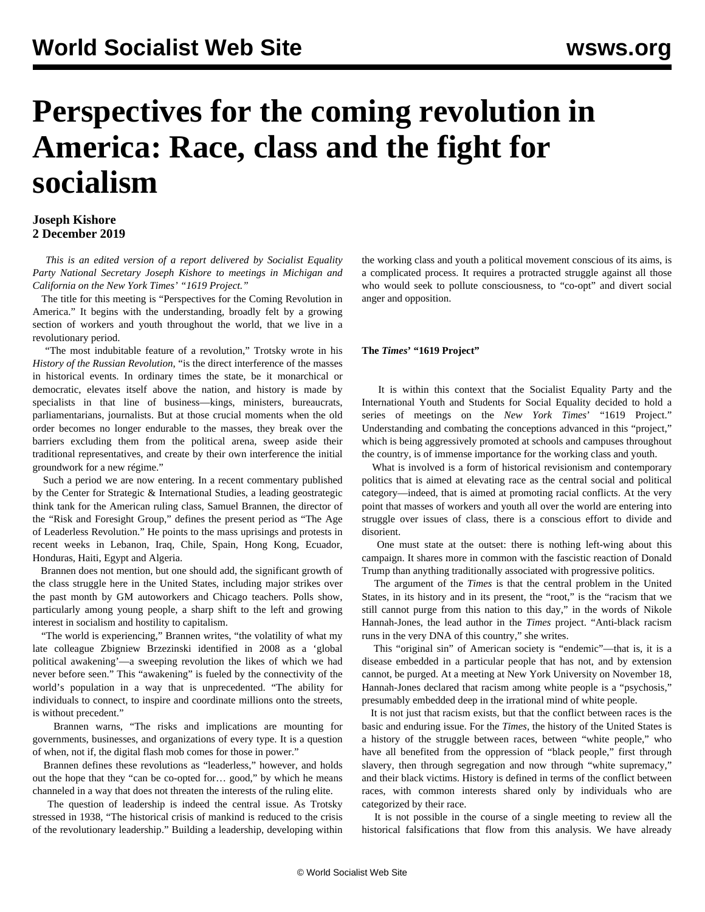# **Perspectives for the coming revolution in America: Race, class and the fight for socialism**

# **Joseph Kishore 2 December 2019**

 *This is an edited version of a report delivered by Socialist Equality Party National Secretary Joseph Kishore to meetings in Michigan and California on the New York Times' "1619 Project."*

 The title for this meeting is "Perspectives for the Coming Revolution in America." It begins with the understanding, broadly felt by a growing section of workers and youth throughout the world, that we live in a revolutionary period.

 "The most indubitable feature of a revolution," Trotsky wrote in his *History of the Russian Revolution*, "is the direct interference of the masses in historical events. In ordinary times the state, be it monarchical or democratic, elevates itself above the nation, and history is made by specialists in that line of business—kings, ministers, bureaucrats, parliamentarians, journalists. But at those crucial moments when the old order becomes no longer endurable to the masses, they break over the barriers excluding them from the political arena, sweep aside their traditional representatives, and create by their own interference the initial groundwork for a new régime."

 Such a period we are now entering. In a recent commentary published by the Center for Strategic & International Studies, a leading geostrategic think tank for the American ruling class, Samuel Brannen, the director of the "Risk and Foresight Group," defines the present period as "The Age of Leaderless Revolution." He points to the mass uprisings and protests in recent weeks in Lebanon, Iraq, Chile, Spain, Hong Kong, Ecuador, Honduras, Haiti, Egypt and Algeria.

 Brannen does not mention, but one should add, the significant growth of the class struggle here in the United States, including major strikes over the past month by GM autoworkers and Chicago teachers. Polls show, particularly among young people, a sharp shift to the left and growing interest in socialism and hostility to capitalism.

 "The world is experiencing," Brannen writes, "the volatility of what my late colleague Zbigniew Brzezinski identified in 2008 as a 'global political awakening'—a sweeping revolution the likes of which we had never before seen." This "awakening" is fueled by the connectivity of the world's population in a way that is unprecedented. "The ability for individuals to connect, to inspire and coordinate millions onto the streets, is without precedent."

 Brannen warns, "The risks and implications are mounting for governments, businesses, and organizations of every type. It is a question of when, not if, the digital flash mob comes for those in power."

 Brannen defines these revolutions as "leaderless," however, and holds out the hope that they "can be co-opted for… good," by which he means channeled in a way that does not threaten the interests of the ruling elite.

 The question of leadership is indeed the central issue. As Trotsky stressed in 1938, "The historical crisis of mankind is reduced to the crisis of the revolutionary leadership." Building a leadership, developing within the working class and youth a political movement conscious of its aims, is a complicated process. It requires a protracted struggle against all those who would seek to pollute consciousness, to "co-opt" and divert social anger and opposition.

## **The** *Times***' "1619 Project"**

 It is within this context that the Socialist Equality Party and the International Youth and Students for Social Equality decided to hold a series of meetings on the *New York Times*' "1619 Project." Understanding and combating the conceptions advanced in this "project," which is being aggressively promoted at schools and campuses throughout the country, is of immense importance for the working class and youth.

 What is involved is a form of historical revisionism and contemporary politics that is aimed at elevating race as the central social and political category—indeed, that is aimed at promoting racial conflicts. At the very point that masses of workers and youth all over the world are entering into struggle over issues of class, there is a conscious effort to divide and disorient.

 One must state at the outset: there is nothing left-wing about this campaign. It shares more in common with the fascistic reaction of Donald Trump than anything traditionally associated with progressive politics.

 The argument of the *Times* is that the central problem in the United States, in its history and in its present, the "root," is the "racism that we still cannot purge from this nation to this day," in the words of Nikole Hannah-Jones, the lead author in the *Times* project. "Anti-black racism runs in the very DNA of this country," she writes.

 This "original sin" of American society is "endemic"—that is, it is a disease embedded in a particular people that has not, and by extension cannot, be purged. At a meeting at New York University on November 18, Hannah-Jones declared that racism among white people is a "psychosis," presumably embedded deep in the irrational mind of white people.

 It is not just that racism exists, but that the conflict between races is the basic and enduring issue. For the *Times*, the history of the United States is a history of the struggle between races, between "white people," who have all benefited from the oppression of "black people," first through slavery, then through segregation and now through "white supremacy," and their black victims. History is defined in terms of the conflict between races, with common interests shared only by individuals who are categorized by their race.

 It is not possible in the course of a single meeting to review all the historical falsifications that flow from this analysis. We have already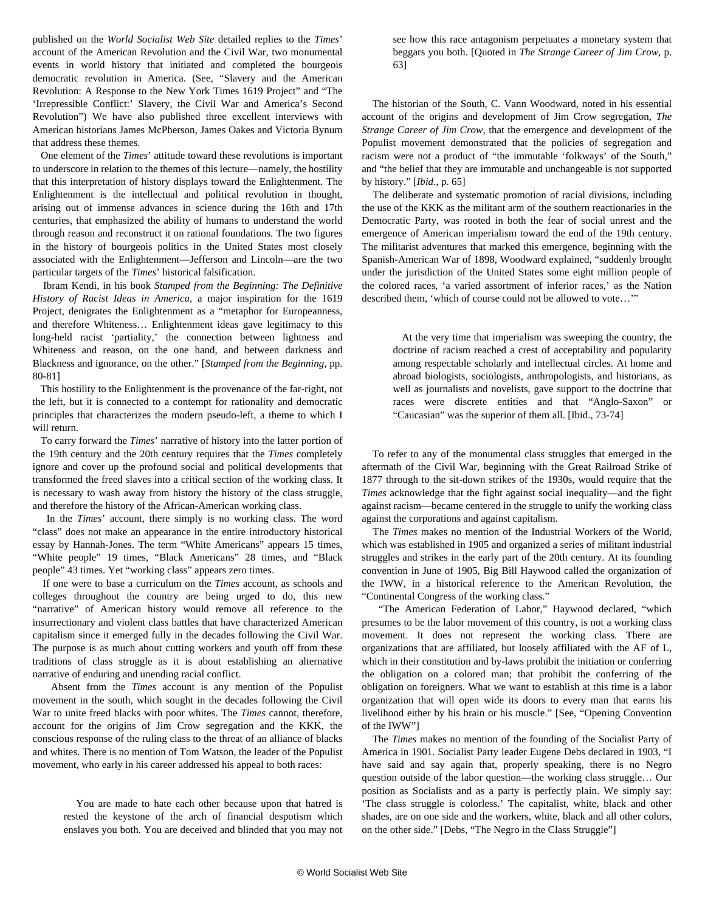published on the *World Socialist Web Site* detailed replies to the *Times*' account of the American Revolution and the Civil War, two monumental events in world history that initiated and completed the bourgeois democratic revolution in America. (See, "[Slavery and the American](/en/articles/2019/11/01/amer-n01.html) [Revolution: A Response to the New York Times 1619 Project"](/en/articles/2019/11/01/amer-n01.html) and "[The](/en/articles/2019/11/09/lect-n09.html) ['Irrepressible Conflict:' Slavery, the Civil War and America's Second](/en/articles/2019/11/09/lect-n09.html) [Revolution](/en/articles/2019/11/09/lect-n09.html)") We have also published three excellent interviews with American historians [James McPherson](/en/articles/2019/11/14/mcph-n14.html), [James Oakes](/en/articles/2019/11/18/oake-n18.html) and [Victoria Bynum](/en/articles/2019/10/30/bynu-o30.html) that address these themes.

 One element of the *Times*' attitude toward these revolutions is important to underscore in relation to the themes of this lecture—namely, the hostility that this interpretation of history displays toward the Enlightenment. The Enlightenment is the intellectual and political revolution in thought, arising out of immense advances in science during the 16th and 17th centuries, that emphasized the ability of humans to understand the world through reason and reconstruct it on rational foundations. The two figures in the history of bourgeois politics in the United States most closely associated with the Enlightenment—Jefferson and Lincoln—are the two particular targets of the *Times*' historical falsification.

 Ibram Kendi, in his book *Stamped from the Beginning: The Definitive History of Racist Ideas in America*, a major inspiration for the 1619 Project, denigrates the Enlightenment as a "metaphor for Europeanness, and therefore Whiteness… Enlightenment ideas gave legitimacy to this long-held racist 'partiality,' the connection between lightness and Whiteness and reason, on the one hand, and between darkness and Blackness and ignorance, on the other." [*Stamped from the Beginning*, pp. 80-81]

 This hostility to the Enlightenment is the provenance of the far-right, not the left, but it is connected to a contempt for rationality and democratic principles that characterizes the modern pseudo-left, a theme to which I will return.

 To carry forward the *Times*' narrative of history into the latter portion of the 19th century and the 20th century requires that the *Times* completely ignore and cover up the profound social and political developments that transformed the freed slaves into a critical section of the working class. It is necessary to wash away from history the history of the class struggle, and therefore the history of the African-American working class.

 In the *Times*' account, there simply is no working class. The word "class" does not make an appearance in the entire introductory historical essay by Hannah-Jones. The term "White Americans" appears 15 times, "White people" 19 times, "Black Americans" 28 times, and "Black people" 43 times. Yet "working class" appears zero times.

 If one were to base a curriculum on the *Times* account, as schools and colleges throughout the country are being urged to do, this new "narrative" of American history would remove all reference to the insurrectionary and violent class battles that have characterized American capitalism since it emerged fully in the decades following the Civil War. The purpose is as much about cutting workers and youth off from these traditions of class struggle as it is about establishing an alternative narrative of enduring and unending racial conflict.

 Absent from the *Times* account is any mention of the Populist movement in the south, which sought in the decades following the Civil War to unite freed blacks with poor whites. The *Times* cannot, therefore, account for the origins of Jim Crow segregation and the KKK, the conscious response of the ruling class to the threat of an alliance of blacks and whites. There is no mention of Tom Watson, the leader of the Populist movement, who early in his career addressed his appeal to both races:

 You are made to hate each other because upon that hatred is rested the keystone of the arch of financial despotism which enslaves you both. You are deceived and blinded that you may not see how this race antagonism perpetuates a monetary system that beggars you both. [Quoted in *The Strange Career of Jim Crow*, p. 63]

 The historian of the South, C. Vann Woodward, noted in his essential account of the origins and development of Jim Crow segregation, *The Strange Career of Jim Crow*, that the emergence and development of the Populist movement demonstrated that the policies of segregation and racism were not a product of "the immutable 'folkways' of the South," and "the belief that they are immutable and unchangeable is not supported by history." [*Ibid*., p. 65]

 The deliberate and systematic promotion of racial divisions, including the use of the KKK as the militant arm of the southern reactionaries in the Democratic Party, was rooted in both the fear of social unrest and the emergence of American imperialism toward the end of the 19th century. The militarist adventures that marked this emergence, beginning with the Spanish-American War of 1898, Woodward explained, "suddenly brought under the jurisdiction of the United States some eight million people of the colored races, 'a varied assortment of inferior races,' as the Nation described them, 'which of course could not be allowed to vote…'"

 At the very time that imperialism was sweeping the country, the doctrine of racism reached a crest of acceptability and popularity among respectable scholarly and intellectual circles. At home and abroad biologists, sociologists, anthropologists, and historians, as well as journalists and novelists, gave support to the doctrine that races were discrete entities and that "Anglo-Saxon" or "Caucasian" was the superior of them all. [Ibid., 73-74]

 To refer to any of the monumental class struggles that emerged in the aftermath of the Civil War, beginning with the Great Railroad Strike of 1877 through to the sit-down strikes of the 1930s, would require that the *Times* acknowledge that the fight against social inequality—and the fight against racism—became centered in the struggle to unify the working class against the corporations and against capitalism.

 The *Times* makes no mention of the Industrial Workers of the World, which was established in 1905 and organized a series of militant industrial struggles and strikes in the early part of the 20th century. At its founding convention in June of 1905, Big Bill Haywood called the organization of the IWW, in a historical reference to the American Revolution, the "Continental Congress of the working class."

 "The American Federation of Labor," Haywood declared, "which presumes to be the labor movement of this country, is not a working class movement. It does not represent the working class. There are organizations that are affiliated, but loosely affiliated with the AF of L, which in their constitution and by-laws prohibit the initiation or conferring the obligation on a colored man; that prohibit the conferring of the obligation on foreigners. What we want to establish at this time is a labor organization that will open wide its doors to every man that earns his livelihood either by his brain or his muscle." [See, "[Opening Convention](https://www.marxists.org/history/usa/unions/iww/1905/convention/ch01.htm) [of the IWW](https://www.marxists.org/history/usa/unions/iww/1905/convention/ch01.htm)"]

 The *Times* makes no mention of the founding of the Socialist Party of America in 1901. Socialist Party leader Eugene Debs declared in 1903, "I have said and say again that, properly speaking, there is no Negro question outside of the labor question—the working class struggle… Our position as Socialists and as a party is perfectly plain. We simply say: 'The class struggle is colorless.' The capitalist, white, black and other shades, are on one side and the workers, white, black and all other colors, on the other side." [Debs, "The Negro in the Class Struggle"]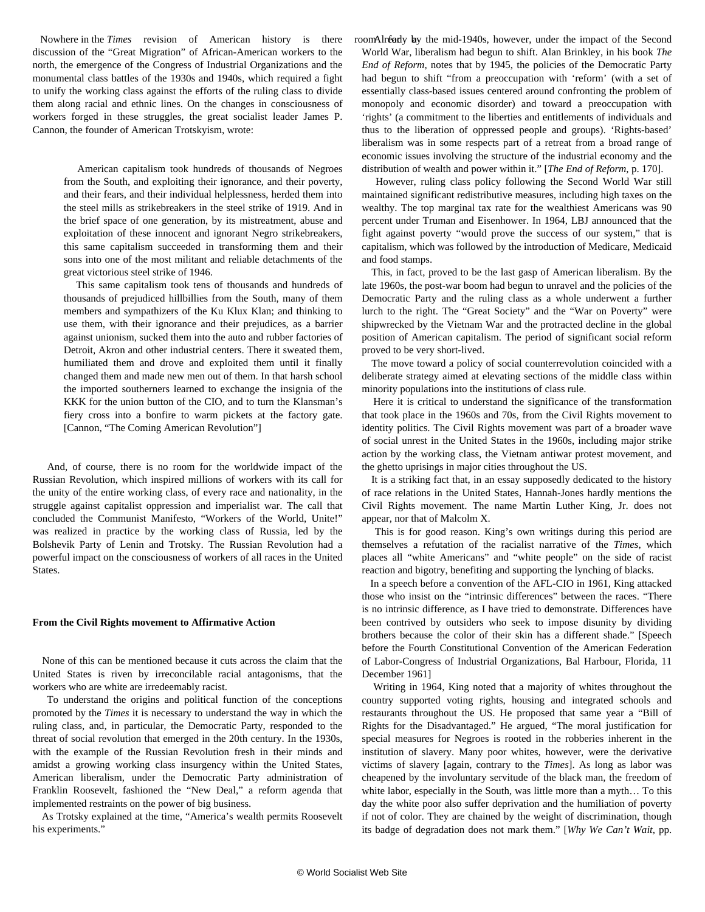Nowhere in the *Times* revision of American history is there discussion of the "Great Migration" of African-American workers to the north, the emergence of the Congress of Industrial Organizations and the monumental class battles of the 1930s and 1940s, which required a fight to unify the working class against the efforts of the ruling class to divide them along racial and ethnic lines. On the changes in consciousness of workers forged in these struggles, the great socialist leader James P. Cannon, the founder of American Trotskyism, wrote:

> American capitalism took hundreds of thousands of Negroes from the South, and exploiting their ignorance, and their poverty, and their fears, and their individual helplessness, herded them into the steel mills as strikebreakers in the steel strike of 1919. And in the brief space of one generation, by its mistreatment, abuse and exploitation of these innocent and ignorant Negro strikebreakers, this same capitalism succeeded in transforming them and their sons into one of the most militant and reliable detachments of the great victorious steel strike of 1946.

> This same capitalism took tens of thousands and hundreds of thousands of prejudiced hillbillies from the South, many of them members and sympathizers of the Ku Klux Klan; and thinking to use them, with their ignorance and their prejudices, as a barrier against unionism, sucked them into the auto and rubber factories of Detroit, Akron and other industrial centers. There it sweated them, humiliated them and drove and exploited them until it finally changed them and made new men out of them. In that harsh school the imported southerners learned to exchange the insignia of the KKK for the union button of the CIO, and to turn the Klansman's fiery cross into a bonfire to warm pickets at the factory gate. [Cannon, "The Coming American Revolution"]

 And, of course, there is no room for the worldwide impact of the Russian Revolution, which inspired millions of workers with its call for the unity of the entire working class, of every race and nationality, in the struggle against capitalist oppression and imperialist war. The call that concluded the Communist Manifesto, "Workers of the World, Unite!" was realized in practice by the working class of Russia, led by the Bolshevik Party of Lenin and Trotsky. The Russian Revolution had a powerful impact on the consciousness of workers of all races in the United States.

#### **From the Civil Rights movement to Affirmative Action**

 None of this can be mentioned because it cuts across the claim that the United States is riven by irreconcilable racial antagonisms, that the workers who are white are irredeemably racist.

 To understand the origins and political function of the conceptions promoted by the *Times* it is necessary to understand the way in which the ruling class, and, in particular, the Democratic Party, responded to the threat of social revolution that emerged in the 20th century. In the 1930s, with the example of the Russian Revolution fresh in their minds and amidst a growing working class insurgency within the United States, American liberalism, under the Democratic Party administration of Franklin Roosevelt, fashioned the "New Deal," a reform agenda that implemented restraints on the power of big business.

 As Trotsky explained at the time, "America's wealth permits Roosevelt his experiments."

roomAlready by the mid-1940s, however, under the impact of the Second World War, liberalism had begun to shift. Alan Brinkley, in his book *The End of Reform*, notes that by 1945, the policies of the Democratic Party had begun to shift "from a preoccupation with 'reform' (with a set of essentially class-based issues centered around confronting the problem of monopoly and economic disorder) and toward a preoccupation with 'rights' (a commitment to the liberties and entitlements of individuals and thus to the liberation of oppressed people and groups). 'Rights-based' liberalism was in some respects part of a retreat from a broad range of economic issues involving the structure of the industrial economy and the distribution of wealth and power within it." [*The End of Reform*, p. 170].

 However, ruling class policy following the Second World War still maintained significant redistributive measures, including high taxes on the wealthy. The top marginal tax rate for the wealthiest Americans was 90 percent under Truman and Eisenhower. In 1964, LBJ announced that the fight against poverty "would prove the success of our system," that is capitalism, which was followed by the introduction of Medicare, Medicaid and food stamps.

 This, in fact, proved to be the last gasp of American liberalism. By the late 1960s, the post-war boom had begun to unravel and the policies of the Democratic Party and the ruling class as a whole underwent a further lurch to the right. The "Great Society" and the "War on Poverty" were shipwrecked by the Vietnam War and the protracted decline in the global position of American capitalism. The period of significant social reform proved to be very short-lived.

 The move toward a policy of social counterrevolution coincided with a deliberate strategy aimed at elevating sections of the middle class within minority populations into the institutions of class rule.

 Here it is critical to understand the significance of the transformation that took place in the 1960s and 70s, from the Civil Rights movement to identity politics. The Civil Rights movement was part of a broader wave of social unrest in the United States in the 1960s, including major strike action by the working class, the Vietnam antiwar protest movement, and the ghetto uprisings in major cities throughout the US.

 It is a striking fact that, in an essay supposedly dedicated to the history of race relations in the United States, Hannah-Jones hardly mentions the Civil Rights movement. The name Martin Luther King, Jr. does not appear, nor that of Malcolm X.

 This is for good reason. King's own writings during this period are themselves a refutation of the racialist narrative of the *Times*, which places all "white Americans" and "white people" on the side of racist reaction and bigotry, benefiting and supporting the lynching of blacks.

 In a speech before a convention of the AFL-CIO in 1961, King attacked those who insist on the "intrinsic differences" between the races. "There is no intrinsic difference, as I have tried to demonstrate. Differences have been contrived by outsiders who seek to impose disunity by dividing brothers because the color of their skin has a different shade." [Speech before the Fourth Constitutional Convention of the American Federation of Labor-Congress of Industrial Organizations, Bal Harbour, Florida, 11 December 1961]

 Writing in 1964, King noted that a majority of whites throughout the country supported voting rights, housing and integrated schools and restaurants throughout the US. He proposed that same year a "Bill of Rights for the Disadvantaged." He argued, "The moral justification for special measures for Negroes is rooted in the robberies inherent in the institution of slavery. Many poor whites, however, were the derivative victims of slavery [again, contrary to the *Times*]. As long as labor was cheapened by the involuntary servitude of the black man, the freedom of white labor, especially in the South, was little more than a myth… To this day the white poor also suffer deprivation and the humiliation of poverty if not of color. They are chained by the weight of discrimination, though its badge of degradation does not mark them." [*Why We Can't Wait*, pp.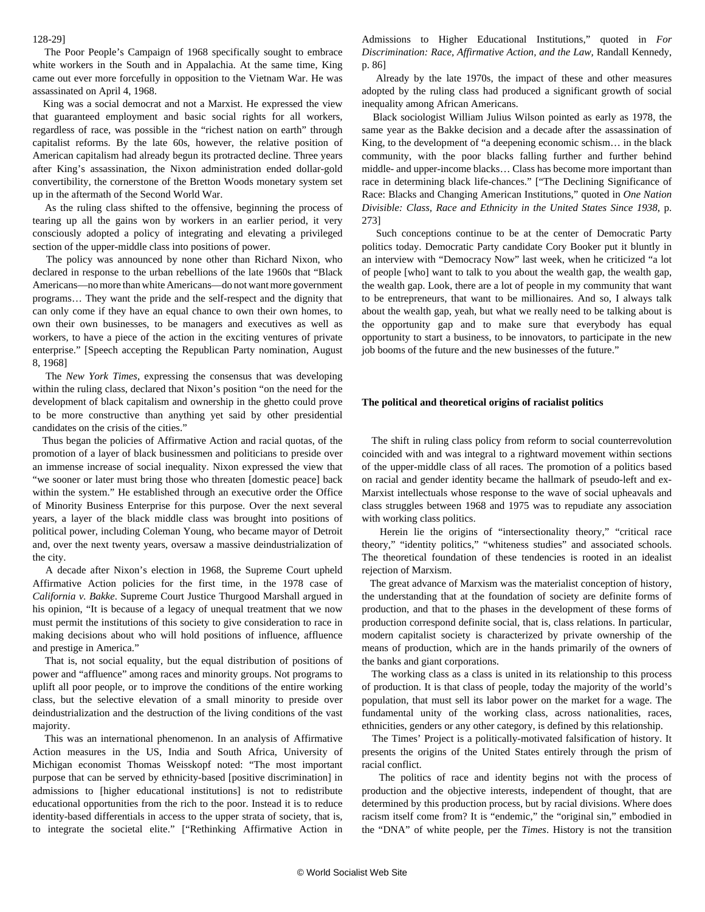#### 128-29]

 The Poor People's Campaign of 1968 specifically sought to embrace white workers in the South and in Appalachia. At the same time, King came out ever more forcefully in opposition to the Vietnam War. He was assassinated on April 4, 1968.

 King was a social democrat and not a Marxist. He expressed the view that guaranteed employment and basic social rights for all workers, regardless of race, was possible in the "richest nation on earth" through capitalist reforms. By the late 60s, however, the relative position of American capitalism had already begun its protracted decline. Three years after King's assassination, the Nixon administration ended dollar-gold convertibility, the cornerstone of the Bretton Woods monetary system set up in the aftermath of the Second World War.

 As the ruling class shifted to the offensive, beginning the process of tearing up all the gains won by workers in an earlier period, it very consciously adopted a policy of integrating and elevating a privileged section of the upper-middle class into positions of power.

 The policy was announced by none other than Richard Nixon, who declared in response to the urban rebellions of the late 1960s that "Black Americans—no more than white Americans—do not want more government programs… They want the pride and the self-respect and the dignity that can only come if they have an equal chance to own their own homes, to own their own businesses, to be managers and executives as well as workers, to have a piece of the action in the exciting ventures of private enterprise." [Speech accepting the Republican Party nomination, August 8, 1968]

 The *New York Times*, expressing the consensus that was developing within the ruling class, declared that Nixon's position "on the need for the development of black capitalism and ownership in the ghetto could prove to be more constructive than anything yet said by other presidential candidates on the crisis of the cities."

 Thus began the policies of Affirmative Action and racial quotas, of the promotion of a layer of black businessmen and politicians to preside over an immense increase of social inequality. Nixon expressed the view that "we sooner or later must bring those who threaten [domestic peace] back within the system." He established through an executive order the Office of Minority Business Enterprise for this purpose. Over the next several years, a layer of the black middle class was brought into positions of political power, including Coleman Young, who became mayor of Detroit and, over the next twenty years, oversaw a massive deindustrialization of the city.

 A decade after Nixon's election in 1968, the Supreme Court upheld Affirmative Action policies for the first time, in the 1978 case of *California v. Bakke*. Supreme Court Justice Thurgood Marshall argued in his opinion, "It is because of a legacy of unequal treatment that we now must permit the institutions of this society to give consideration to race in making decisions about who will hold positions of influence, affluence and prestige in America."

 That is, not social equality, but the equal distribution of positions of power and "affluence" among races and minority groups. Not programs to uplift all poor people, or to improve the conditions of the entire working class, but the selective elevation of a small minority to preside over deindustrialization and the destruction of the living conditions of the vast majority.

 This was an international phenomenon. In an analysis of Affirmative Action measures in the US, India and South Africa, University of Michigan economist Thomas Weisskopf noted: "The most important purpose that can be served by ethnicity-based [positive discrimination] in admissions to [higher educational institutions] is not to redistribute educational opportunities from the rich to the poor. Instead it is to reduce identity-based differentials in access to the upper strata of society, that is, to integrate the societal elite." ["Rethinking Affirmative Action in

Admissions to Higher Educational Institutions," quoted in *For Discrimination: Race, Affirmative Action, and the Law,* Randall Kennedy, p. 86]

 Already by the late 1970s, the impact of these and other measures adopted by the ruling class had produced a significant growth of social inequality among African Americans.

 Black sociologist William Julius Wilson pointed as early as 1978, the same year as the Bakke decision and a decade after the assassination of King, to the development of "a deepening economic schism… in the black community, with the poor blacks falling further and further behind middle- and upper-income blacks… Class has become more important than race in determining black life-chances." ["The Declining Significance of Race: Blacks and Changing American Institutions," quoted in *One Nation Divisible: Class, Race and Ethnicity in the United States Since 1938*, p. 273]

 Such conceptions continue to be at the center of Democratic Party politics today. Democratic Party candidate Cory Booker put it bluntly in an interview with "Democracy Now" last week, when he criticized "a lot of people [who] want to talk to you about the wealth gap, the wealth gap, the wealth gap. Look, there are a lot of people in my community that want to be entrepreneurs, that want to be millionaires. And so, I always talk about the wealth gap, yeah, but what we really need to be talking about is the opportunity gap and to make sure that everybody has equal opportunity to start a business, to be innovators, to participate in the new job booms of the future and the new businesses of the future."

#### **The political and theoretical origins of racialist politics**

 The shift in ruling class policy from reform to social counterrevolution coincided with and was integral to a rightward movement within sections of the upper-middle class of all races. The promotion of a politics based on racial and gender identity became the hallmark of pseudo-left and ex-Marxist intellectuals whose response to the wave of social upheavals and class struggles between 1968 and 1975 was to repudiate any association with working class politics.

 Herein lie the origins of "intersectionality theory," "critical race theory," "identity politics," "whiteness studies" and associated schools. The theoretical foundation of these tendencies is rooted in an idealist rejection of Marxism.

 The great advance of Marxism was the materialist conception of history, the understanding that at the foundation of society are definite forms of production, and that to the phases in the development of these forms of production correspond definite social, that is, class relations. In particular, modern capitalist society is characterized by private ownership of the means of production, which are in the hands primarily of the owners of the banks and giant corporations.

 The working class as a class is united in its relationship to this process of production. It is that class of people, today the majority of the world's population, that must sell its labor power on the market for a wage. The fundamental unity of the working class, across nationalities, races, ethnicities, genders or any other category, is defined by this relationship.

 The Times' Project is a politically-motivated falsification of history. It presents the origins of the United States entirely through the prism of racial conflict.

 The politics of race and identity begins not with the process of production and the objective interests, independent of thought, that are determined by this production process, but by racial divisions. Where does racism itself come from? It is "endemic," the "original sin," embodied in the "DNA" of white people, per the *Times*. History is not the transition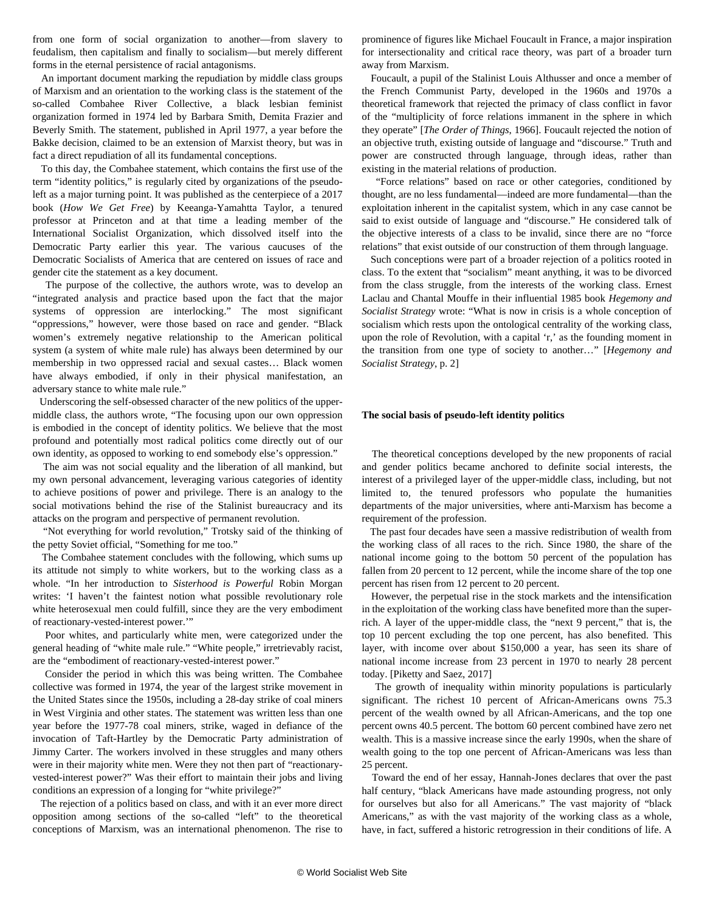from one form of social organization to another—from slavery to feudalism, then capitalism and finally to socialism—but merely different forms in the eternal persistence of racial antagonisms.

 An important document marking the repudiation by middle class groups of Marxism and an orientation to the working class is the statement of the so-called Combahee River Collective, a black lesbian feminist organization formed in 1974 led by Barbara Smith, Demita Frazier and Beverly Smith. The statement, published in April 1977, a year before the Bakke decision, claimed to be an extension of Marxist theory, but was in fact a direct repudiation of all its fundamental conceptions.

 To this day, the Combahee statement, which contains the first use of the term "identity politics," is regularly cited by organizations of the pseudoleft as a major turning point. It was published as the centerpiece of a 2017 book (*How We Get Free*) by Keeanga-Yamahtta Taylor, a tenured professor at Princeton and at that time a leading member of the International Socialist Organization, which dissolved itself into the Democratic Party earlier this year. The various caucuses of the Democratic Socialists of America that are centered on issues of race and gender cite the statement as a key document.

 The purpose of the collective, the authors wrote, was to develop an "integrated analysis and practice based upon the fact that the major systems of oppression are interlocking." The most significant "oppressions," however, were those based on race and gender. "Black women's extremely negative relationship to the American political system (a system of white male rule) has always been determined by our membership in two oppressed racial and sexual castes… Black women have always embodied, if only in their physical manifestation, an adversary stance to white male rule."

 Underscoring the self-obsessed character of the new politics of the uppermiddle class, the authors wrote, "The focusing upon our own oppression is embodied in the concept of identity politics. We believe that the most profound and potentially most radical politics come directly out of our own identity, as opposed to working to end somebody else's oppression."

 The aim was not social equality and the liberation of all mankind, but my own personal advancement, leveraging various categories of identity to achieve positions of power and privilege. There is an analogy to the social motivations behind the rise of the Stalinist bureaucracy and its attacks on the program and perspective of permanent revolution.

 "Not everything for world revolution," Trotsky said of the thinking of the petty Soviet official, "Something for me too."

 The Combahee statement concludes with the following, which sums up its attitude not simply to white workers, but to the working class as a whole. "In her introduction to *Sisterhood is Powerful* Robin Morgan writes: 'I haven't the faintest notion what possible revolutionary role white heterosexual men could fulfill, since they are the very embodiment of reactionary-vested-interest power.'"

 Poor whites, and particularly white men, were categorized under the general heading of "white male rule." "White people," irretrievably racist, are the "embodiment of reactionary-vested-interest power."

 Consider the period in which this was being written. The Combahee collective was formed in 1974, the year of the largest strike movement in the United States since the 1950s, including a 28-day strike of coal miners in West Virginia and other states. The statement was written less than one year before the 1977-78 coal miners, strike, waged in defiance of the invocation of Taft-Hartley by the Democratic Party administration of Jimmy Carter. The workers involved in these struggles and many others were in their majority white men. Were they not then part of "reactionaryvested-interest power?" Was their effort to maintain their jobs and living conditions an expression of a longing for "white privilege?"

 The rejection of a politics based on class, and with it an ever more direct opposition among sections of the so-called "left" to the theoretical conceptions of Marxism, was an international phenomenon. The rise to

prominence of figures like Michael Foucault in France, a major inspiration for intersectionality and critical race theory, was part of a broader turn away from Marxism.

 Foucault, a pupil of the Stalinist Louis Althusser and once a member of the French Communist Party, developed in the 1960s and 1970s a theoretical framework that rejected the primacy of class conflict in favor of the "multiplicity of force relations immanent in the sphere in which they operate" [*The Order of Things*, 1966]. Foucault rejected the notion of an objective truth, existing outside of language and "discourse." Truth and power are constructed through language, through ideas, rather than existing in the material relations of production.

 "Force relations" based on race or other categories, conditioned by thought, are no less fundamental—indeed are more fundamental—than the exploitation inherent in the capitalist system, which in any case cannot be said to exist outside of language and "discourse." He considered talk of the objective interests of a class to be invalid, since there are no "force relations" that exist outside of our construction of them through language.

 Such conceptions were part of a broader rejection of a politics rooted in class. To the extent that "socialism" meant anything, it was to be divorced from the class struggle, from the interests of the working class. Ernest Laclau and Chantal Mouffe in their influential 1985 book *Hegemony and Socialist Strategy* wrote: "What is now in crisis is a whole conception of socialism which rests upon the ontological centrality of the working class, upon the role of Revolution, with a capital 'r,' as the founding moment in the transition from one type of society to another…" [*Hegemony and Socialist Strategy*, p. 2]

### **The social basis of pseudo-left identity politics**

 The theoretical conceptions developed by the new proponents of racial and gender politics became anchored to definite social interests, the interest of a privileged layer of the upper-middle class, including, but not limited to, the tenured professors who populate the humanities departments of the major universities, where anti-Marxism has become a requirement of the profession.

 The past four decades have seen a massive redistribution of wealth from the working class of all races to the rich. Since 1980, the share of the national income going to the bottom 50 percent of the population has fallen from 20 percent to 12 percent, while the income share of the top one percent has risen from 12 percent to 20 percent.

 However, the perpetual rise in the stock markets and the intensification in the exploitation of the working class have benefited more than the superrich. A layer of the upper-middle class, the "next 9 percent," that is, the top 10 percent excluding the top one percent, has also benefited. This layer, with income over about \$150,000 a year, has seen its share of national income increase from 23 percent in 1970 to nearly 28 percent today. [Piketty and Saez, 2017]

 The growth of inequality within minority populations is particularly significant. The richest 10 percent of African-Americans owns 75.3 percent of the wealth owned by all African-Americans, and the top one percent owns 40.5 percent. The bottom 60 percent combined have zero net wealth. This is a massive increase since the early 1990s, when the share of wealth going to the top one percent of African-Americans was less than 25 percent.

 Toward the end of her essay, Hannah-Jones declares that over the past half century, "black Americans have made astounding progress, not only for ourselves but also for all Americans." The vast majority of "black Americans," as with the vast majority of the working class as a whole, have, in fact, suffered a historic retrogression in their conditions of life. A